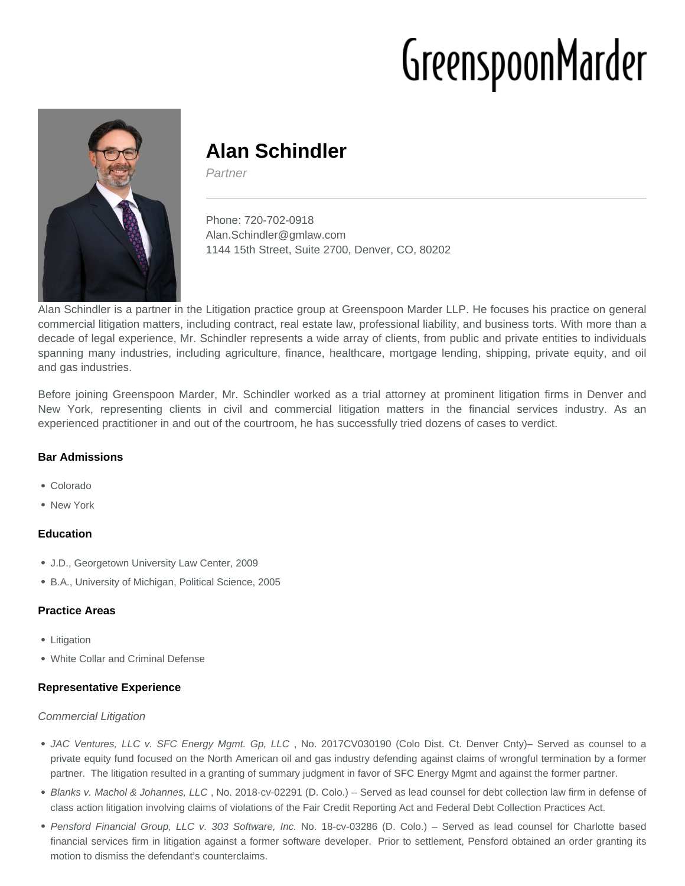# GreenspoonMarder



# **Alan Schindler**

Partner

Phone: 720-702-0918 Alan.Schindler@gmlaw.com 1144 15th Street, Suite 2700, Denver, CO, 80202

Alan Schindler is a partner in the Litigation practice group at Greenspoon Marder LLP. He focuses his practice on general commercial litigation matters, including contract, real estate law, professional liability, and business torts. With more than a decade of legal experience, Mr. Schindler represents a wide array of clients, from public and private entities to individuals spanning many industries, including agriculture, finance, healthcare, mortgage lending, shipping, private equity, and oil and gas industries.

Before joining Greenspoon Marder, Mr. Schindler worked as a trial attorney at prominent litigation firms in Denver and New York, representing clients in civil and commercial litigation matters in the financial services industry. As an experienced practitioner in and out of the courtroom, he has successfully tried dozens of cases to verdict.

# **Bar Admissions**

- Colorado
- New York

# **Education**

- J.D., Georgetown University Law Center, 2009
- B.A., University of Michigan, Political Science, 2005

# **Practice Areas**

- Litigation
- White Collar and Criminal Defense

# **Representative Experience**

#### Commercial Litigation

- JAC Ventures, LLC v. SFC Energy Mgmt. Gp, LLC , No. 2017CV030190 (Colo Dist. Ct. Denver Cnty)– Served as counsel to a private equity fund focused on the North American oil and gas industry defending against claims of wrongful termination by a former partner. The litigation resulted in a granting of summary judgment in favor of SFC Energy Mgmt and against the former partner.
- Blanks v. Machol & Johannes, LLC , No. 2018-cv-02291 (D. Colo.) Served as lead counsel for debt collection law firm in defense of class action litigation involving claims of violations of the Fair Credit Reporting Act and Federal Debt Collection Practices Act.
- Pensford Financial Group, LLC v. 303 Software, Inc. No. 18-cv-03286 (D. Colo.) Served as lead counsel for Charlotte based financial services firm in litigation against a former software developer. Prior to settlement, Pensford obtained an order granting its motion to dismiss the defendant's counterclaims.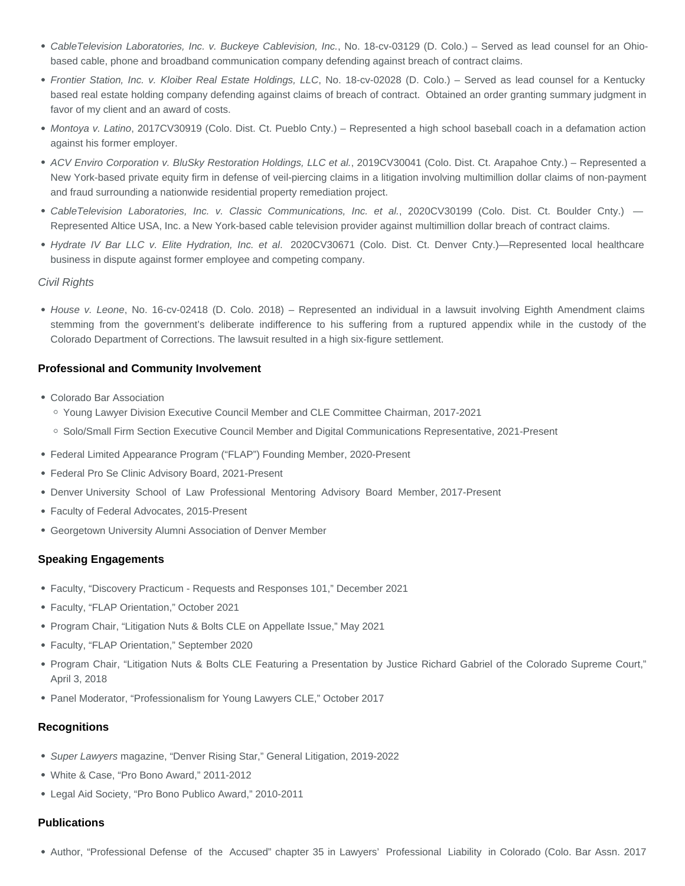- CableTelevision Laboratories, Inc. v. Buckeye Cablevision, Inc., No. 18-cv-03129 (D. Colo.) Served as lead counsel for an Ohiobased cable, phone and broadband communication company defending against breach of contract claims.
- Frontier Station, Inc. v. Kloiber Real Estate Holdings, LLC, No. 18-cv-02028 (D. Colo.) Served as lead counsel for a Kentucky based real estate holding company defending against claims of breach of contract. Obtained an order granting summary judgment in favor of my client and an award of costs.
- Montoya v. Latino, 2017CV30919 (Colo. Dist. Ct. Pueblo Cnty.) Represented a high school baseball coach in a defamation action against his former employer.
- ACV Enviro Corporation v. BluSky Restoration Holdings, LLC et al., 2019CV30041 (Colo. Dist. Ct. Arapahoe Cnty.) Represented a New York-based private equity firm in defense of veil-piercing claims in a litigation involving multimillion dollar claims of non-payment and fraud surrounding a nationwide residential property remediation project.
- CableTelevision Laboratories, Inc. v. Classic Communications, Inc. et al., 2020CV30199 (Colo. Dist. Ct. Boulder Cnty.) Represented Altice USA, Inc. a New York-based cable television provider against multimillion dollar breach of contract claims.
- Hydrate IV Bar LLC v. Elite Hydration, Inc. et al. 2020CV30671 (Colo. Dist. Ct. Denver Cnty.)—Represented local healthcare business in dispute against former employee and competing company.

#### Civil Rights

• House v. Leone, No. 16-cv-02418 (D. Colo. 2018) – Represented an individual in a lawsuit involving Eighth Amendment claims stemming from the government's deliberate indifference to his suffering from a ruptured appendix while in the custody of the Colorado Department of Corrections. The lawsuit resulted in a high six-figure settlement.

#### **Professional and Community Involvement**

- Colorado Bar Association
	- Young Lawyer Division Executive Council Member and CLE Committee Chairman, 2017-2021
	- Solo/Small Firm Section Executive Council Member and Digital Communications Representative, 2021-Present
- Federal Limited Appearance Program ("FLAP") Founding Member, 2020-Present
- Federal Pro Se Clinic Advisory Board, 2021-Present
- Denver University School of Law Professional Mentoring Advisory Board Member, 2017-Present
- Faculty of Federal Advocates, 2015-Present
- Georgetown University Alumni Association of Denver Member

#### **Speaking Engagements**

- Faculty, "Discovery Practicum Requests and Responses 101," December 2021
- Faculty, "FLAP Orientation," October 2021
- Program Chair, "Litigation Nuts & Bolts CLE on Appellate Issue," May 2021
- Faculty, "FLAP Orientation," September 2020
- Program Chair, "Litigation Nuts & Bolts CLE Featuring a Presentation by Justice Richard Gabriel of the Colorado Supreme Court," April 3, 2018
- Panel Moderator, "Professionalism for Young Lawyers CLE," October 2017

#### **Recognitions**

- Super Lawyers magazine, "Denver Rising Star," General Litigation, 2019-2022
- White & Case, "Pro Bono Award," 2011-2012
- Legal Aid Society, "Pro Bono Publico Award," 2010-2011

#### **Publications**

Author, "Professional Defense of the Accused" chapter 35 in Lawyers' Professional Liability in Colorado (Colo. Bar Assn. 2017